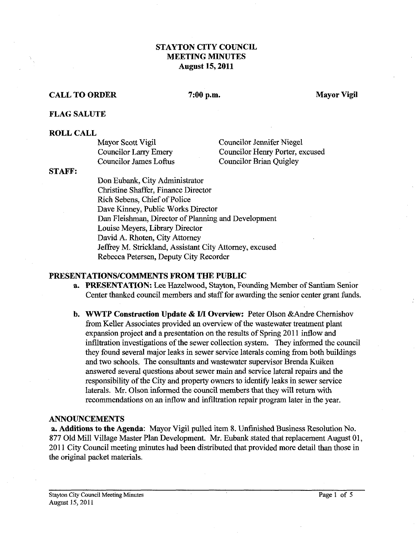# **STAYTON CITY COUNCIL MEETING MINUTES August 15,2011**

## **CALL TO ORDER** 7:00 **p.m. Mayor Vigil**

#### **FLAG SALUTE**

## **ROLL CALL**

| Mayor Scott Vigil      | <b>Councilor Jennifer Niegel</b> |
|------------------------|----------------------------------|
| Councilor Larry Emery  | Councilor Henry Porter, excused  |
| Councilor James Loftus | Councilor Brian Quigley          |

#### **STAFF:**

Don Eubank, City Administrator Christine Shaffer, Finance Director Rich Sebens, Chief of Police Dave Kinney, Public Works Director Dan Fleishman, Director of Planning and Development Louise Meyers, Library Director David A. Rhoten, City Attorney Jeffrey M. Strickland, Assistant City Attorney, excused Rebecca Petersen, Deputy City Recorder

## **PRESENTATIONSICOMMENTS FROM THE PUBLIC**

- **a. PRESENTATION:** Lee Hazelwood, Stayton, Foundimg Member of Santiam Senior Center thanked council members and staff for awarding the senior center grant funds.
- **b. WWTP Construction Update** & **UI** Overview: Peter Olson &Andre Chernishov from Keller Associates provided an overview of the wastewater treatment plant expansion project and a presentation on the results of Spring 2011 inflow and infiltration investigations of the sewer collection system. They informed the council they found several major leaks in sewer service laterals coming from both buildings and two schools. The consultants and wastewater supervisor Brenda Kuiken answered several questions about sewer main and service lateral repairs and the responsibility of the City and property owners to identify leaks in sewer service laterals. Mr. Olson informed the council members that they will return with recommendations on an inflow and infiltration repair program later in the year.

## **ANNOUNCEMENTS**

**a. Additions to the Agenda:** Mayor Vigil pulled item 8. Unfinished Business Resolution No. 877 Old Mill Village Master Plan Development. Mr. Eubank stated that replacement August 01, 2011 City Council meeting minutes had been distributed that provided more detail than those in the original packet materials.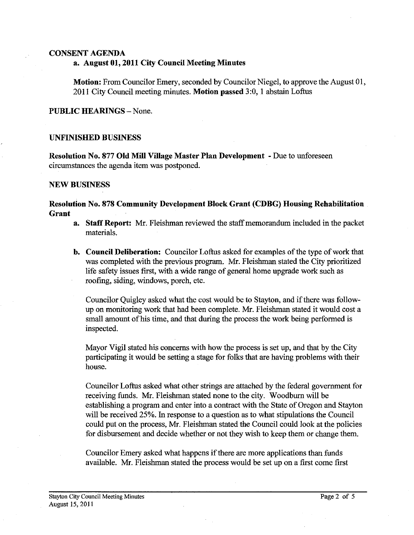## **CONSENT AGENDA a. August 01,2011 City Council Meeting Minutes**

**Motion:** From Councilor Emery, seconded by Councilor Niegel, to approve the August 01, 201 1 City Council meeting minutes. **Motion passed** 3:0, 1 abstain Loftus

**PUBLIC HEARINGS -- None.** 

## **UNFINISHED BUSINESS**

**Resolution No. 877 Old Mill Village Master Plan Development** - Due to unforeseen circumstances the agenda item was postponed.

## **NEW BUSINESS**

## **Resolution No. 878 Community Development Block Grant (CDBG) Housing Rehabilitation Grant**

- **a. Staff Report: Mr.** Fleishman reviewed the staff memorandum included in the packet materials.
- **b. Council Deliberation:** Councilor Loftus asked for examples of the type of work that was completed with the previous program. Mr. Fleishman stated the City prioritized life safety issues first, with a wide range of general home upgrade work such as roofing, siding, windows, porch, etc.

Councilor Quigley asked what the cost would be to Stayton, and if there was followup on monitoring work that had been complete. Mr. Fleishman stated it would cost a small amount of his time, and that during the process the work being performed is inspected.

Mayor Vigil stated **his** concerns with how the process is set up, and that by the City participating it would be setting a stage for folks that are having problems with their house.

Councilor Loftus asked what other strings are attached by the federal government for receiving funds. Mr. Fleishman stated none to the city. Woodburn will be establishing a program and enter into a contract with the State of Oregon and Stayton will be received 25%. In response to a question as to what stipulations the Council could put on the process, Mr. Fleishman stated the Council could look at the policies for disbursement and decide whether or not they wish to keep them or change them.

Councilor Emery asked what happens if there are more applications than funds available. Mr. Fleishman stated the process would be set up on a first come first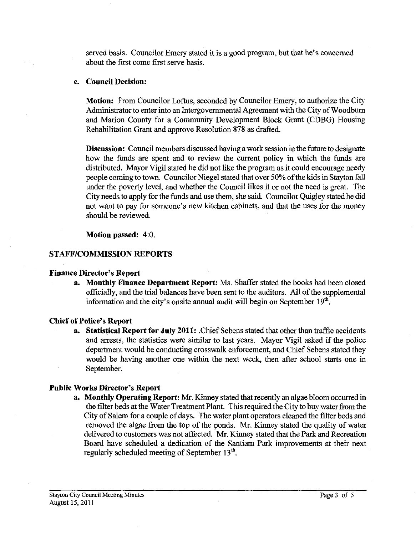served basis. Councilor Emery stated it is a good program, but that he's concerned about the first come first serve basis.

## c. Council Decision:

Motion: From Councilor Loftus, seconded by Councilor Emery, to authorize the City Administrator to enter into an Intergovernmental Agreement with the City of Woodburn and Marion County for a Community Development Block Grant (CDBG) Housing Rehabilitation Grant and approve Resolution **878** as drafted.

Discussion: Council members discussed having a work session in the future to designate how the funds are spent and to review the current policy in which the **funds** are distributed. Mayor Vigil stated he did not like the program as it could encourage needy people coming to town. Councilor Niegel stated that over 50% of the kids in Stayton fall under the poverty level, and whether the Council likes it or not the need is great. The City needs to apply for the funds and use them, she said. Councilor Quigley stated he did not want to pay for someone's new kitchen cabinets, and that the uses for the money should be reviewed.

Motion passed: 4:O.

# STAET/COMMISSION REPORTS

## Finance Director's Report

a. Monthly Finance Department Report: Ms. Shaffer stated the books had been closed officially, and the trial balances have been sent to the auditors. All of the supplemental information and the city's onsite annual audit will begin on September  $19<sup>th</sup>$ .

# Chief of Police's Report

a. Statistical Report for July **2011:** .Chief Sebens stated that other than traffic accidents and arrests, the statistics were similar to last years. Mayor Vigil asked if the police department would be conducting crosswalk enforcement, and Chief Sebens stated they would be having another one within the next week, then after school starts one in September.

# Public Works Director's Report

a. Monthly Operating Report: Mr. Kinney stated that recently an algae bloom occurred in the filter beds at the Water Treatment Plant. This required the City to buy water from the City of Salem for a couple of days. The water plant operators cleaned the filter beds and removed the algae from the top of the ponds. Mr. Kinney stated the quality of water delivered to customers was not affected. Mr. Kinney stated that the Park and Recreation Board have scheduled a dedication of the Santiam Park improvements at their next regularly scheduled meeting of September  $13<sup>th</sup>$ .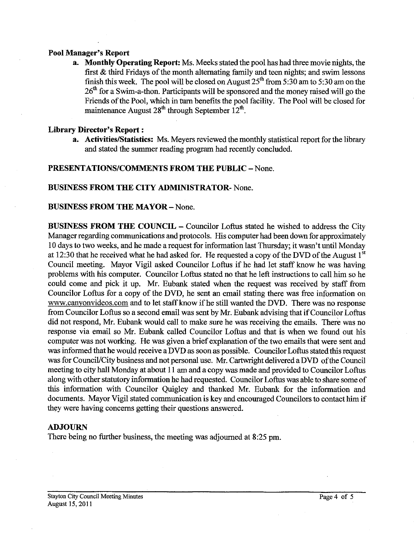## **Pool Manager's Report**

**a. Monthly Operating Report:** Ms. Meeks stated the pool has had three movie nights, the first & third Fridays of the month alternating family and teen nights; and swim lessons finish this week. The pool will be closed on August  $25<sup>th</sup>$  from 5:30 am to 5:30 am on the  $26<sup>th</sup>$  for a Swim-a-thon. Participants will be sponsored and the money raised will go the Friends of the Pool, which in turn benefits the pool facility. The Pool will be closed for maintenance August **28"** through September 12".

## **Library Director's Report** :

**a.** Activities/Statistics: Ms. Meyers reviewed the monthly statistical report for the library and stated the summer reading program had recently concluded.

## **PRESENTATIONS/COMMENTS FROM THE PUBLIC - None.**

## **BUSINESS FROM THE CITY ADMINISTRATOR-** None.

## **BUSINESS FROM THE MAYOR - None.**

**BUSINESS FROM THE COUNCIL – Councilor Loftus stated he wished to address the City** Manager regarding communications and protocols. His computer had been down for approximately 10 days to two weeks, and he made a request for information last Thursday; it wasn't until Monday at 12:30 that he received what he had asked for. He requested a copy of the DVD of the August  $1<sup>st</sup>$ Council meeting. Mayor Vigil asked Councilor Loftus if he had let staff know he was having problems with his computer. Councilor Loftus stated no that he left instructions to call him so he could come and pick it up. Mr. Eubank stated when the request was received by staff from Councilor Loftus for a copy of the DVD, he sent an email stating there was free information on www.canyonvideos.com and to let staff know if he still wanted the DVD. There was no response from Councilor Loftus so a second email was sent by Mr. Eubank advising that if Councilor Loftus did not respond, Mr. Eubank would call to make sure he was receiving the emails. There was no response via email so Mr. Eubank called Councilor Loftus and that is when we found out his computer was not working. He was given a brief explanation of the two emails that were sent and was informed that he would receive a DVD as soon as possible. Councilor Loftus stated this request was for Council/City business and not personal use. Mr. Cartwright delivered a DVD of the Council meeting to city hall Monday at about 11 am and a copy was made and provided to Councilor Loftus along with other statutory information he had requested. Councilor Loftus was able to share some of this information with Councilor Quigley and thanked Mr. Eubank for the information and documents. Mayor Vigil stated communication is key and encouraged Councilors to contact him if they were having concerns getting their questions answered.

## **ADJOURN**

There being no further business, the meeting was adjourned at **8:25** pm.